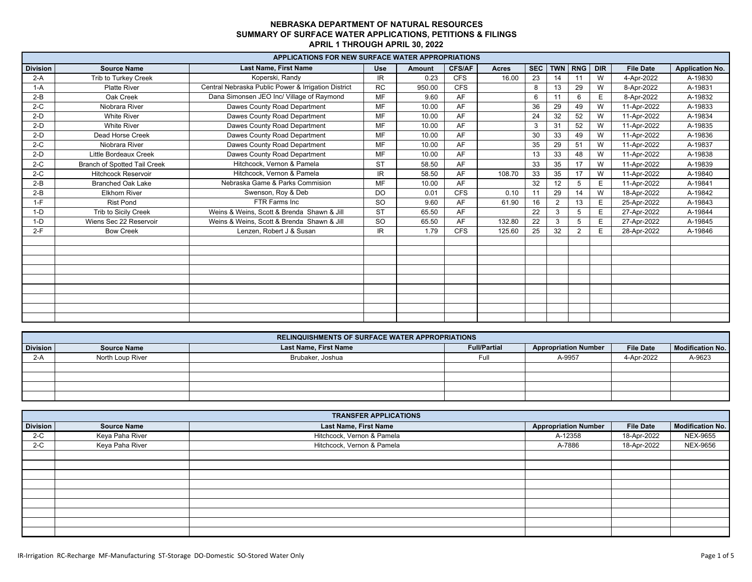|                 |                                     | <b>APPLICATIONS FOR NEW SURFACE WATER APPROPRIATIONS</b> |            |               |               |              |            |                |                |            |                  |                        |
|-----------------|-------------------------------------|----------------------------------------------------------|------------|---------------|---------------|--------------|------------|----------------|----------------|------------|------------------|------------------------|
| <b>Division</b> | <b>Source Name</b>                  | Last Name, First Name                                    | <b>Use</b> | <b>Amount</b> | <b>CFS/AF</b> | <b>Acres</b> | <b>SEC</b> |                | TWN RNG        | <b>DIR</b> | <b>File Date</b> | <b>Application No.</b> |
| $2-A$           | Trib to Turkey Creek                | Koperski, Randy                                          | IR.        | 0.23          | <b>CFS</b>    | 16.00        | 23         | 14             | 11             | W          | 4-Apr-2022       | A-19830                |
| $1-A$           | <b>Platte River</b>                 | Central Nebraska Public Power & Irrigation District      | <b>RC</b>  | 950.00        | <b>CFS</b>    |              | 8          | 13             | 29             | W          | 8-Apr-2022       | A-19831                |
| $2-B$           | Oak Creek                           | Dana Simonsen JEO Inc/ Village of Raymond                | <b>MF</b>  | 9.60          | AF            |              | 6          | 1'             | 6              | E          | 8-Apr-2022       | A-19832                |
| $2-C$           | Niobrara River                      | Dawes County Road Department                             | <b>MF</b>  | 10.00         | AF            |              | 36         | 29             | 49             | W          | 11-Apr-2022      | A-19833                |
| $2-D$           | <b>White River</b>                  | Dawes County Road Department                             | MF         | 10.00         | AF            |              | 24         | 32             | 52             | W          | 11-Apr-2022      | A-19834                |
| $2-D$           | <b>White River</b>                  | Dawes County Road Department                             | <b>MF</b>  | 10.00         | AF            |              | 3          | 31             | 52             | W          | 11-Apr-2022      | A-19835                |
| $2-D$           | Dead Horse Creek                    | Dawes County Road Department                             | <b>MF</b>  | 10.00         | AF            |              | 30         | 33             | 49             | W          | 11-Apr-2022      | A-19836                |
| $2-C$           | Niobrara River                      | Dawes County Road Department                             | <b>MF</b>  | 10.00         | AF            |              | 35         | 29             | 51             | W          | 11-Apr-2022      | A-19837                |
| $2-D$           | <b>Little Bordeaux Creek</b>        | Dawes County Road Department                             | MF         | 10.00         | AF            |              | 13         | 33             | 48             | W          | 11-Apr-2022      | A-19838                |
| $2-C$           | <b>Branch of Spotted Tail Creek</b> | Hitchcock, Vernon & Pamela                               | <b>ST</b>  | 58.50         | AF            |              | 33         | 35             | 17             | W          | 11-Apr-2022      | A-19839                |
| $2-C$           | <b>Hitchcock Reservoir</b>          | Hitchcock, Vernon & Pamela                               | IR.        | 58.50         | AF            | 108.70       | 33         | 35             | 17             | W          | 11-Apr-2022      | A-19840                |
| $2-B$           | <b>Branched Oak Lake</b>            | Nebraska Game & Parks Commision                          | MF         | 10.00         | AF            |              | 32         | 12             | 5              | E          | 11-Apr-2022      | A-19841                |
| $2-B$           | <b>Elkhorn River</b>                | Swenson, Roy & Deb                                       | <b>DO</b>  | 0.01          | <b>CFS</b>    | 0.10         | 11         | 29             | 14             | W          | 18-Apr-2022      | A-19842                |
| $1-F$           | <b>Rist Pond</b>                    | FTR Farms Inc                                            | <b>SO</b>  | 9.60          | AF            | 61.90        | 16         | $\overline{2}$ | 13             | Е          | 25-Apr-2022      | A-19843                |
| $1-D$           | Trib to Sicily Creek                | Weins & Weins, Scott & Brenda Shawn & Jill               | <b>ST</b>  | 65.50         | AF            |              | 22         | 3              | 5              | E          | 27-Apr-2022      | A-19844                |
| $1-D$           | Wiens Sec 22 Reservoir              | Weins & Weins, Scott & Brenda Shawn & Jill               | <b>SO</b>  | 65.50         | AF            | 132.80       | 22         |                |                | Е          | 27-Apr-2022      | A-19845                |
| $2-F$           | <b>Bow Creek</b>                    | Lenzen, Robert J & Susan                                 | IR.        | 1.79          | <b>CFS</b>    | 125.60       | 25         | 32             | $\overline{2}$ | E          | 28-Apr-2022      | A-19846                |
|                 |                                     |                                                          |            |               |               |              |            |                |                |            |                  |                        |
|                 |                                     |                                                          |            |               |               |              |            |                |                |            |                  |                        |
|                 |                                     |                                                          |            |               |               |              |            |                |                |            |                  |                        |
|                 |                                     |                                                          |            |               |               |              |            |                |                |            |                  |                        |
|                 |                                     |                                                          |            |               |               |              |            |                |                |            |                  |                        |
|                 |                                     |                                                          |            |               |               |              |            |                |                |            |                  |                        |
|                 |                                     |                                                          |            |               |               |              |            |                |                |            |                  |                        |
|                 |                                     |                                                          |            |               |               |              |            |                |                |            |                  |                        |
|                 |                                     |                                                          |            |               |               |              |            |                |                |            |                  |                        |

|          | <b>RELINQUISHMENTS OF SURFACE WATER APPROPRIATIONS</b> |                              |                     |                             |                  |                         |  |  |  |  |  |  |
|----------|--------------------------------------------------------|------------------------------|---------------------|-----------------------------|------------------|-------------------------|--|--|--|--|--|--|
| Division | <b>Source Name</b>                                     | <b>Last Name, First Name</b> | <b>Full/Partial</b> | <b>Appropriation Number</b> | <b>File Date</b> | <b>Modification No.</b> |  |  |  |  |  |  |
| $2-A$    | North Loup River                                       | Brubaker, Joshua             | Full                | A-9957                      | 4-Apr-2022       | A-9623                  |  |  |  |  |  |  |
|          |                                                        |                              |                     |                             |                  |                         |  |  |  |  |  |  |
|          |                                                        |                              |                     |                             |                  |                         |  |  |  |  |  |  |
|          |                                                        |                              |                     |                             |                  |                         |  |  |  |  |  |  |
|          |                                                        |                              |                     |                             |                  |                         |  |  |  |  |  |  |

|                 |                    | <b>TRANSFER APPLICATIONS</b> |                             |                  |                         |
|-----------------|--------------------|------------------------------|-----------------------------|------------------|-------------------------|
| <b>Division</b> | <b>Source Name</b> | Last Name, First Name        | <b>Appropriation Number</b> | <b>File Date</b> | <b>Modification No.</b> |
| $2-C$           | Keya Paha River    | Hitchcock, Vernon & Pamela   | A-12358                     | 18-Apr-2022      | <b>NEX-9655</b>         |
| $2-C$           | Keya Paha River    | Hitchcock, Vernon & Pamela   | A-7886                      | 18-Apr-2022      | NEX-9656                |
|                 |                    |                              |                             |                  |                         |
|                 |                    |                              |                             |                  |                         |
|                 |                    |                              |                             |                  |                         |
|                 |                    |                              |                             |                  |                         |
|                 |                    |                              |                             |                  |                         |
|                 |                    |                              |                             |                  |                         |
|                 |                    |                              |                             |                  |                         |
|                 |                    |                              |                             |                  |                         |
|                 |                    |                              |                             |                  |                         |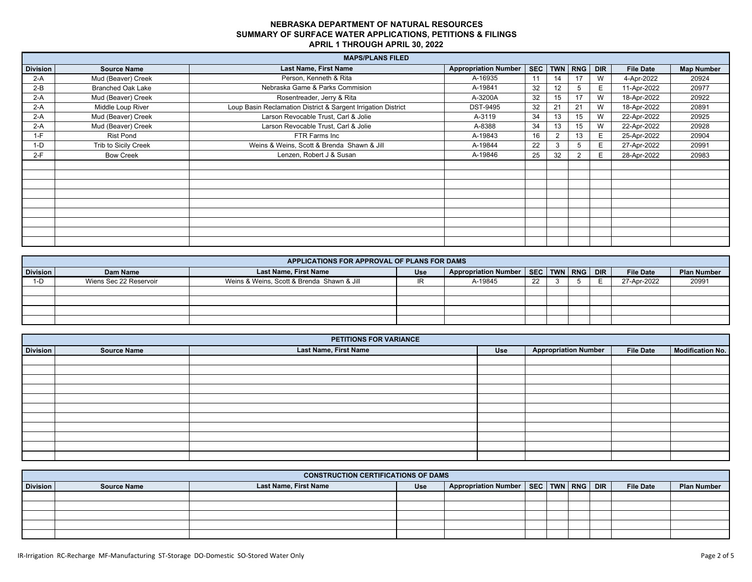|                 |                          | <b>MAPS/PLANS FILED</b>                                       |                             |    |             |    |            |                  |                   |
|-----------------|--------------------------|---------------------------------------------------------------|-----------------------------|----|-------------|----|------------|------------------|-------------------|
| <b>Division</b> | <b>Source Name</b>       | Last Name, First Name                                         | <b>Appropriation Number</b> |    | SEC TWN RNG |    | <b>DIR</b> | <b>File Date</b> | <b>Map Number</b> |
| $2-A$           | Mud (Beaver) Creek       | Person, Kenneth & Rita                                        | A-16935                     | 11 | 14          | 17 | W          | 4-Apr-2022       | 20924             |
| $2-B$           | <b>Branched Oak Lake</b> | Nebraska Game & Parks Commision                               | A-19841                     | 32 |             |    | E          | 11-Apr-2022      | 20977             |
| $2-A$           | Mud (Beaver) Creek       | Rosentreader, Jerry & Rita                                    | A-3200A                     | 32 |             | 17 | W          | 18-Apr-2022      | 20922             |
| $2-A$           | Middle Loup River        | Loup Basin Reclamation District & Sargent Irrigation District | <b>DST-9495</b>             | 32 | 21          | 21 | W          | 18-Apr-2022      | 20891             |
| $2-A$           | Mud (Beaver) Creek       | Larson Revocable Trust, Carl & Jolie                          | A-3119                      | 34 |             | 15 | W          | 22-Apr-2022      | 20925             |
| $2-A$           | Mud (Beaver) Creek       | Larson Revocable Trust, Carl & Jolie                          | A-8388                      | 34 |             | 15 | W          | 22-Apr-2022      | 20928             |
| $1-F$           | <b>Rist Pond</b>         | FTR Farms Inc                                                 | A-19843                     | 16 |             | 13 | E.         | 25-Apr-2022      | 20904             |
| $1-D$           | Trib to Sicily Creek     | Weins & Weins, Scott & Brenda Shawn & Jill                    | A-19844                     | 22 |             | b. | Е          | 27-Apr-2022      | 20991             |
| $2-F$           | <b>Bow Creek</b>         | Lenzen, Robert J & Susan                                      | A-19846                     | 25 | 32          |    | E.         | 28-Apr-2022      | 20983             |
|                 |                          |                                                               |                             |    |             |    |            |                  |                   |
|                 |                          |                                                               |                             |    |             |    |            |                  |                   |
|                 |                          |                                                               |                             |    |             |    |            |                  |                   |
|                 |                          |                                                               |                             |    |             |    |            |                  |                   |
|                 |                          |                                                               |                             |    |             |    |            |                  |                   |
|                 |                          |                                                               |                             |    |             |    |            |                  |                   |
|                 |                          |                                                               |                             |    |             |    |            |                  |                   |
|                 |                          |                                                               |                             |    |             |    |            |                  |                   |
|                 |                          |                                                               |                             |    |             |    |            |                  |                   |

|                 | APPLICATIONS FOR APPROVAL OF PLANS FOR DAMS |                                            |            |                                        |    |  |  |            |                  |                    |  |
|-----------------|---------------------------------------------|--------------------------------------------|------------|----------------------------------------|----|--|--|------------|------------------|--------------------|--|
| <b>Division</b> | Dam Name                                    | <b>Last Name, First Name</b>               | <b>Use</b> | Appropriation Number   SEC   TWN   RNG |    |  |  | <b>DIR</b> | <b>File Date</b> | <b>Plan Number</b> |  |
| 1-D             | Wiens Sec 22 Reservoir                      | Weins & Weins, Scott & Brenda Shawn & Jill |            | A-19845                                | 22 |  |  |            | 27-Apr-2022      | 20991              |  |
|                 |                                             |                                            |            |                                        |    |  |  |            |                  |                    |  |
|                 |                                             |                                            |            |                                        |    |  |  |            |                  |                    |  |
|                 |                                             |                                            |            |                                        |    |  |  |            |                  |                    |  |
|                 |                                             |                                            |            |                                        |    |  |  |            |                  |                    |  |

|                 | PETITIONS FOR VARIANCE |                       |     |                             |                  |                         |  |  |  |  |  |  |  |
|-----------------|------------------------|-----------------------|-----|-----------------------------|------------------|-------------------------|--|--|--|--|--|--|--|
| <b>Division</b> | <b>Source Name</b>     | Last Name, First Name | Use | <b>Appropriation Number</b> | <b>File Date</b> | <b>Modification No.</b> |  |  |  |  |  |  |  |
|                 |                        |                       |     |                             |                  |                         |  |  |  |  |  |  |  |
|                 |                        |                       |     |                             |                  |                         |  |  |  |  |  |  |  |
|                 |                        |                       |     |                             |                  |                         |  |  |  |  |  |  |  |
|                 |                        |                       |     |                             |                  |                         |  |  |  |  |  |  |  |
|                 |                        |                       |     |                             |                  |                         |  |  |  |  |  |  |  |
|                 |                        |                       |     |                             |                  |                         |  |  |  |  |  |  |  |
|                 |                        |                       |     |                             |                  |                         |  |  |  |  |  |  |  |
|                 |                        |                       |     |                             |                  |                         |  |  |  |  |  |  |  |
|                 |                        |                       |     |                             |                  |                         |  |  |  |  |  |  |  |
|                 |                        |                       |     |                             |                  |                         |  |  |  |  |  |  |  |
|                 |                        |                       |     |                             |                  |                         |  |  |  |  |  |  |  |

|          | <b>CONSTRUCTION CERTIFICATIONS OF DAMS</b> |                       |     |                                              |  |  |  |  |                  |                    |
|----------|--------------------------------------------|-----------------------|-----|----------------------------------------------|--|--|--|--|------------------|--------------------|
| Division | <b>Source Name</b>                         | Last Name, First Name | Use | Appropriation Number   SEC   TWN   RNG   DIR |  |  |  |  | <b>File Date</b> | <b>Plan Number</b> |
|          |                                            |                       |     |                                              |  |  |  |  |                  |                    |
|          |                                            |                       |     |                                              |  |  |  |  |                  |                    |
|          |                                            |                       |     |                                              |  |  |  |  |                  |                    |
|          |                                            |                       |     |                                              |  |  |  |  |                  |                    |
|          |                                            |                       |     |                                              |  |  |  |  |                  |                    |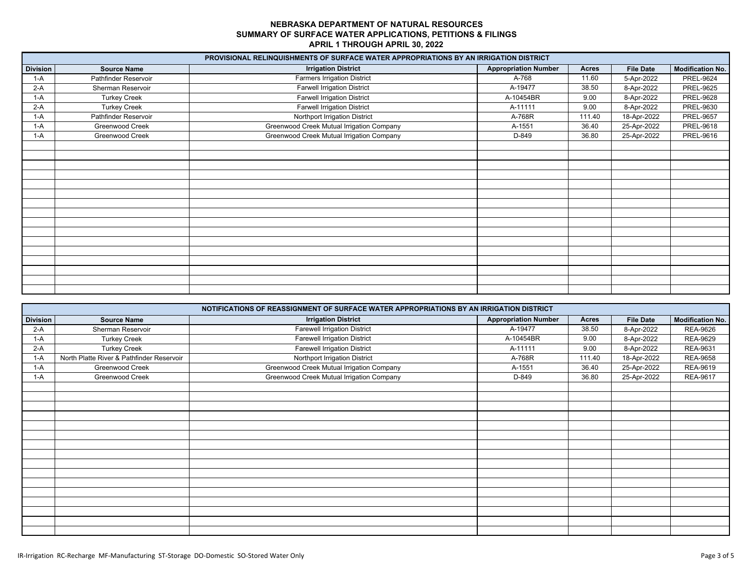|                 |                      | PROVISIONAL RELINQUISHMENTS OF SURFACE WATER APPROPRIATIONS BY AN IRRIGATION DISTRICT |                             |              |                  |                         |
|-----------------|----------------------|---------------------------------------------------------------------------------------|-----------------------------|--------------|------------------|-------------------------|
| <b>Division</b> | <b>Source Name</b>   | <b>Irrigation District</b>                                                            | <b>Appropriation Number</b> | <b>Acres</b> | <b>File Date</b> | <b>Modification No.</b> |
| $1-A$           | Pathfinder Reservoir | <b>Farmers Irrigation District</b>                                                    | A-768                       | 11.60        | 5-Apr-2022       | <b>PREL-9624</b>        |
| $2-A$           | Sherman Reservoir    | <b>Farwell Irrigation District</b>                                                    | A-19477                     | 38.50        | 8-Apr-2022       | <b>PREL-9625</b>        |
| $1-A$           | <b>Turkey Creek</b>  | <b>Farwell Irrigation District</b>                                                    | A-10454BR                   | 9.00         | 8-Apr-2022       | <b>PREL-9628</b>        |
| $2-A$           | <b>Turkey Creek</b>  | <b>Farwell Irrigation District</b>                                                    | A-11111                     | 9.00         | 8-Apr-2022       | PREL-9630               |
| $1-A$           | Pathfinder Reservoir | Northport Irrigation District                                                         | A-768R                      | 111.40       | 18-Apr-2022      | <b>PREL-9657</b>        |
| $1-A$           | Greenwood Creek      | Greenwood Creek Mutual Irrigation Company                                             | A-1551                      | 36.40        | 25-Apr-2022      | PREL-9618               |
| $1-A$           | Greenwood Creek      | Greenwood Creek Mutual Irrigation Company                                             | D-849                       | 36.80        | 25-Apr-2022      | PREL-9616               |
|                 |                      |                                                                                       |                             |              |                  |                         |
|                 |                      |                                                                                       |                             |              |                  |                         |
|                 |                      |                                                                                       |                             |              |                  |                         |
|                 |                      |                                                                                       |                             |              |                  |                         |
|                 |                      |                                                                                       |                             |              |                  |                         |
|                 |                      |                                                                                       |                             |              |                  |                         |
|                 |                      |                                                                                       |                             |              |                  |                         |
|                 |                      |                                                                                       |                             |              |                  |                         |
|                 |                      |                                                                                       |                             |              |                  |                         |
|                 |                      |                                                                                       |                             |              |                  |                         |
|                 |                      |                                                                                       |                             |              |                  |                         |
|                 |                      |                                                                                       |                             |              |                  |                         |
|                 |                      |                                                                                       |                             |              |                  |                         |
|                 |                      |                                                                                       |                             |              |                  |                         |
|                 |                      |                                                                                       |                             |              |                  |                         |
|                 |                      |                                                                                       |                             |              |                  |                         |

|                 |                                           | NOTIFICATIONS OF REASSIGNMENT OF SURFACE WATER APPROPRIATIONS BY AN IRRIGATION DISTRICT |                             |        |                  |                         |
|-----------------|-------------------------------------------|-----------------------------------------------------------------------------------------|-----------------------------|--------|------------------|-------------------------|
| <b>Division</b> | <b>Source Name</b>                        | <b>Irrigation District</b>                                                              | <b>Appropriation Number</b> | Acres  | <b>File Date</b> | <b>Modification No.</b> |
| $2-A$           | Sherman Reservoir                         | <b>Farewell Irrigation District</b>                                                     | A-19477                     | 38.50  | 8-Apr-2022       | <b>REA-9626</b>         |
| $1-A$           | <b>Turkey Creek</b>                       | <b>Farewell Irrigation District</b>                                                     | A-10454BR                   | 9.00   | 8-Apr-2022       | <b>REA-9629</b>         |
| $2-A$           | <b>Turkey Creek</b>                       | <b>Farewell Irrigation District</b>                                                     | A-11111                     | 9.00   | 8-Apr-2022       | REA-9631                |
| $1-A$           | North Platte River & Pathfinder Reservoir | Northport Irrigation District                                                           | A-768R                      | 111.40 | 18-Apr-2022      | <b>REA-9658</b>         |
| $1-A$           | Greenwood Creek                           | Greenwood Creek Mutual Irrigation Company                                               | A-1551                      | 36.40  | 25-Apr-2022      | REA-9619                |
| 1-A             | Greenwood Creek                           | Greenwood Creek Mutual Irrigation Company                                               | D-849                       | 36.80  | 25-Apr-2022      | <b>REA-9617</b>         |
|                 |                                           |                                                                                         |                             |        |                  |                         |
|                 |                                           |                                                                                         |                             |        |                  |                         |
|                 |                                           |                                                                                         |                             |        |                  |                         |
|                 |                                           |                                                                                         |                             |        |                  |                         |
|                 |                                           |                                                                                         |                             |        |                  |                         |
|                 |                                           |                                                                                         |                             |        |                  |                         |
|                 |                                           |                                                                                         |                             |        |                  |                         |
|                 |                                           |                                                                                         |                             |        |                  |                         |
|                 |                                           |                                                                                         |                             |        |                  |                         |
|                 |                                           |                                                                                         |                             |        |                  |                         |
|                 |                                           |                                                                                         |                             |        |                  |                         |
|                 |                                           |                                                                                         |                             |        |                  |                         |
|                 |                                           |                                                                                         |                             |        |                  |                         |
|                 |                                           |                                                                                         |                             |        |                  |                         |
|                 |                                           |                                                                                         |                             |        |                  |                         |
|                 |                                           |                                                                                         |                             |        |                  |                         |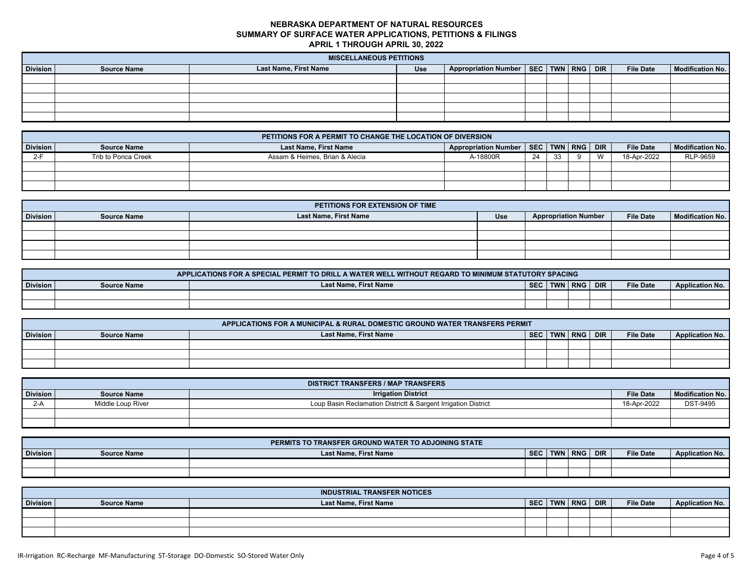|                 | <b>MISCELLANEOUS PETITIONS</b> |                       |     |                                              |  |  |  |  |                  |                         |
|-----------------|--------------------------------|-----------------------|-----|----------------------------------------------|--|--|--|--|------------------|-------------------------|
| <b>Division</b> | <b>Source Name</b>             | Last Name, First Name | Use | Appropriation Number   SEC   TWN   RNG   DIR |  |  |  |  | <b>File Date</b> | <b>Modification No.</b> |
|                 |                                |                       |     |                                              |  |  |  |  |                  |                         |
|                 |                                |                       |     |                                              |  |  |  |  |                  |                         |
|                 |                                |                       |     |                                              |  |  |  |  |                  |                         |
|                 |                                |                       |     |                                              |  |  |  |  |                  |                         |
|                 |                                |                       |     |                                              |  |  |  |  |                  |                         |

|                                                                                                                                                                      | PETITIONS FOR A PERMIT TO CHANGE THE LOCATION OF DIVERSION |                                |          |    |    |   |              |             |          |  |  |
|----------------------------------------------------------------------------------------------------------------------------------------------------------------------|------------------------------------------------------------|--------------------------------|----------|----|----|---|--------------|-------------|----------|--|--|
| Appropriation Number   SEC   TWN   RNG   DIR<br><b>Last Name, First Name</b><br><b>Division</b><br><b>File Date</b><br><b>Modification No.</b><br><b>Source Name</b> |                                                            |                                |          |    |    |   |              |             |          |  |  |
| $2-F$                                                                                                                                                                | Trib to Ponca Creek                                        | Assam & Heimes, Brian & Alecia | A-18800R | 24 | 33 | ດ | $\mathbf{M}$ | 18-Apr-2022 | RLP-9659 |  |  |
|                                                                                                                                                                      |                                                            |                                |          |    |    |   |              |             |          |  |  |
|                                                                                                                                                                      |                                                            |                                |          |    |    |   |              |             |          |  |  |
|                                                                                                                                                                      |                                                            |                                |          |    |    |   |              |             |          |  |  |

|                 | PETITIONS FOR EXTENSION OF TIME |                       |     |                             |                  |                  |  |  |  |  |  |  |
|-----------------|---------------------------------|-----------------------|-----|-----------------------------|------------------|------------------|--|--|--|--|--|--|
| <b>Division</b> | <b>Source Name</b>              | Last Name, First Name | Use | <b>Appropriation Number</b> | <b>File Date</b> | Modification No. |  |  |  |  |  |  |
|                 |                                 |                       |     |                             |                  |                  |  |  |  |  |  |  |
|                 |                                 |                       |     |                             |                  |                  |  |  |  |  |  |  |
|                 |                                 |                       |     |                             |                  |                  |  |  |  |  |  |  |
|                 |                                 |                       |     |                             |                  |                  |  |  |  |  |  |  |

|                 | APPLICATIONS FOR A SPECIAL PERMIT TO DRILL A WATER WELL WITHOUT REGARD TO MINIMUM STATUTORY SPACING |                              |            |            |            |            |                  |                        |  |  |  |
|-----------------|-----------------------------------------------------------------------------------------------------|------------------------------|------------|------------|------------|------------|------------------|------------------------|--|--|--|
| <b>Division</b> | <b>Source Name</b>                                                                                  | <b>Last Name, First Name</b> | <b>SEC</b> | <b>TWN</b> | <b>RNG</b> | <b>DIR</b> | <b>File Date</b> | <b>Application No.</b> |  |  |  |
|                 |                                                                                                     |                              |            |            |            |            |                  |                        |  |  |  |
|                 |                                                                                                     |                              |            |            |            |            |                  |                        |  |  |  |

|                 | APPLICATIONS FOR A MUNICIPAL & RURAL DOMESTIC GROUND WATER TRANSFERS PERMIT |                       |            |  |                 |  |                  |                        |  |  |  |
|-----------------|-----------------------------------------------------------------------------|-----------------------|------------|--|-----------------|--|------------------|------------------------|--|--|--|
| <b>Division</b> | <b>Source Name</b>                                                          | Last Name, First Name | <b>SEC</b> |  | twn I RNG I DIR |  | <b>File Date</b> | <b>Application No.</b> |  |  |  |
|                 |                                                                             |                       |            |  |                 |  |                  |                        |  |  |  |
|                 |                                                                             |                       |            |  |                 |  |                  |                        |  |  |  |
|                 |                                                                             |                       |            |  |                 |  |                  |                        |  |  |  |

|                 | <b>DISTRICT TRANSFERS / MAP TRANSFERS</b> |                                                                |                  |                         |  |  |  |  |  |  |  |  |
|-----------------|-------------------------------------------|----------------------------------------------------------------|------------------|-------------------------|--|--|--|--|--|--|--|--|
| <b>Division</b> | <b>Source Name</b>                        | <b>Irrigation District</b>                                     | <b>File Date</b> | <b>Modification No.</b> |  |  |  |  |  |  |  |  |
| $2-A$           | Middle Loup River                         | Loup Basin Reclamation Districtt & Sargent Irrigation District | 18-Apr-2022      | <b>DST-9495</b>         |  |  |  |  |  |  |  |  |
|                 |                                           |                                                                |                  |                         |  |  |  |  |  |  |  |  |
|                 |                                           |                                                                |                  |                         |  |  |  |  |  |  |  |  |

|                 |                    | PERMITS TO TRANSFER GROUND WATER TO ADJOINING STATE |            |            |            |            |                  |                        |
|-----------------|--------------------|-----------------------------------------------------|------------|------------|------------|------------|------------------|------------------------|
| <b>Division</b> | <b>Source Name</b> | <b>Last Name, First Name</b>                        | <b>SEC</b> | <b>TWN</b> | <b>RNG</b> | <b>DIR</b> | <b>File Date</b> | <b>Application No.</b> |
|                 |                    |                                                     |            |            |            |            |                  |                        |
|                 |                    |                                                     |            |            |            |            |                  |                        |

|                 |                    | <b>INDUSTRIAL TRANSFER NOTICES</b> |     |                    |                  |                 |
|-----------------|--------------------|------------------------------------|-----|--------------------|------------------|-----------------|
| <b>Division</b> | <b>Source Name</b> | Last Name, First Name              | SEC | <b>TWN RNG DIR</b> | <b>File Date</b> | Application No. |
|                 |                    |                                    |     |                    |                  |                 |
|                 |                    |                                    |     |                    |                  |                 |
|                 |                    |                                    |     |                    |                  |                 |